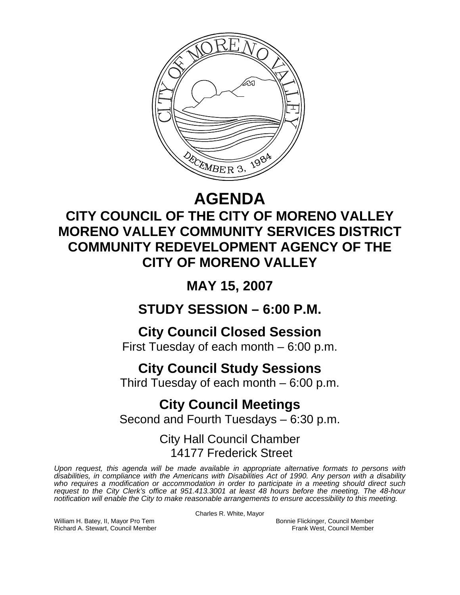

# **AGENDA**

## **CITY COUNCIL OF THE CITY OF MORENO VALLEY MORENO VALLEY COMMUNITY SERVICES DISTRICT COMMUNITY REDEVELOPMENT AGENCY OF THE CITY OF MORENO VALLEY**

**MAY 15, 2007** 

**STUDY SESSION – 6:00 P.M.** 

**City Council Closed Session** 

First Tuesday of each month – 6:00 p.m.

## **City Council Study Sessions**

Third Tuesday of each month – 6:00 p.m.

## **City Council Meetings**  Second and Fourth Tuesdays – 6:30 p.m.

### City Hall Council Chamber 14177 Frederick Street

*Upon request, this agenda will be made available in appropriate alternative formats to persons with disabilities, in compliance with the Americans with Disabilities Act of 1990. Any person with a disability*  who requires a modification or accommodation in order to participate in a meeting should direct such *request to the City Clerk's office at 951.413.3001 at least 48 hours before the meeting. The 48-hour notification will enable the City to make reasonable arrangements to ensure accessibility to this meeting.* 

Charles R. White, Mayor

William H. Batey, II, Mayor Pro Tem Bonnie Flickinger, Council Member<br>Richard A. Stewart, Council Member **Bonnie Flickinger, Council Member** Frank West, Council Member Richard A. Stewart, Council Member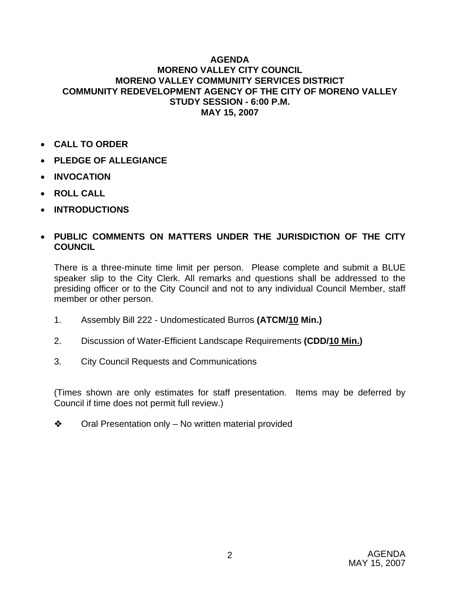#### **AGENDA MORENO VALLEY CITY COUNCIL MORENO VALLEY COMMUNITY SERVICES DISTRICT COMMUNITY REDEVELOPMENT AGENCY OF THE CITY OF MORENO VALLEY STUDY SESSION - 6:00 P.M. MAY 15, 2007**

- **CALL TO ORDER**
- **PLEDGE OF ALLEGIANCE**
- **INVOCATION**
- **ROLL CALL**
- **INTRODUCTIONS**

### • **PUBLIC COMMENTS ON MATTERS UNDER THE JURISDICTION OF THE CITY COUNCIL**

There is a three-minute time limit per person. Please complete and submit a BLUE speaker slip to the City Clerk. All remarks and questions shall be addressed to the presiding officer or to the City Council and not to any individual Council Member, staff member or other person.

- 1. Assembly Bill 222 Undomesticated Burros **(ATCM/10 Min.)**
- 2. Discussion of Water-Efficient Landscape Requirements **(CDD/10 Min.)**
- 3. City Council Requests and Communications

(Times shown are only estimates for staff presentation. Items may be deferred by Council if time does not permit full review.)

 $\triangleleft$  Oral Presentation only – No written material provided